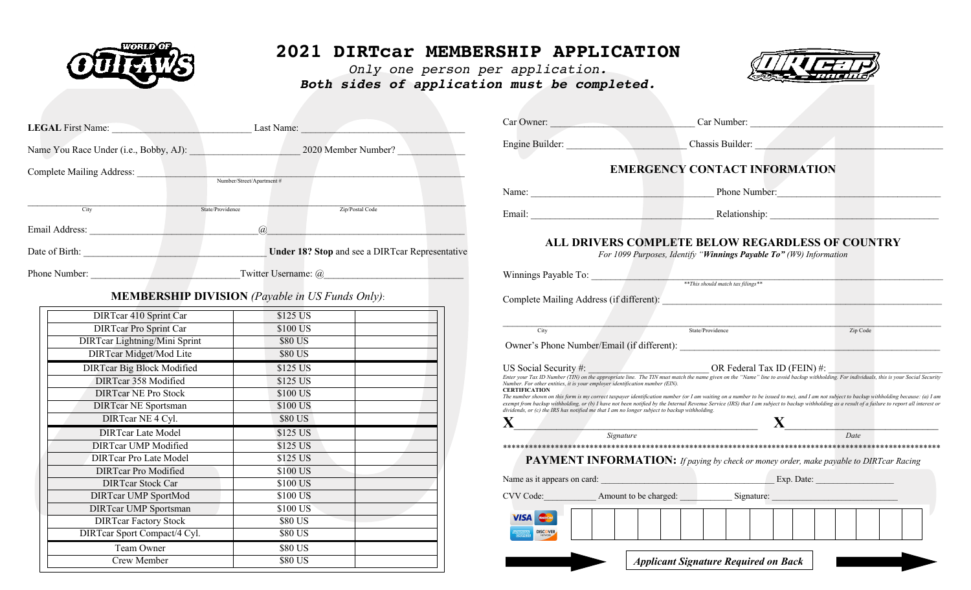

## **2021 DIRTcar MEMBERSHIP APPLICATION**

*Only one person per application. Both sides of application must be completed.*



| <b>LEGAL</b> First Name: Last Name:                                                                                                                                                                                                  |                                                            | Car Owner:                                                                                     | Car Number:                                                                                                                                                                                                      |
|--------------------------------------------------------------------------------------------------------------------------------------------------------------------------------------------------------------------------------------|------------------------------------------------------------|------------------------------------------------------------------------------------------------|------------------------------------------------------------------------------------------------------------------------------------------------------------------------------------------------------------------|
|                                                                                                                                                                                                                                      | Name You Race Under (i.e., Bobby, AJ): 2020 Member Number? |                                                                                                | Engine Builder: Chassis Builder:                                                                                                                                                                                 |
|                                                                                                                                                                                                                                      | Number/Street/Apartment#                                   |                                                                                                | <b>EMERGENCY CONTACT INFORMATION</b>                                                                                                                                                                             |
|                                                                                                                                                                                                                                      |                                                            | Name:                                                                                          | Phone Number:                                                                                                                                                                                                    |
| City                                                                                                                                                                                                                                 | State/Providence<br>Zip/Postal Code                        |                                                                                                |                                                                                                                                                                                                                  |
|                                                                                                                                                                                                                                      | $\overline{a}$                                             |                                                                                                |                                                                                                                                                                                                                  |
| Date of Birth: <u>the contract of the contract of the contract of the contract of the contract of the contract of the contract of the contract of the contract of the contract of the contract of the contract of the contract o</u> | <b>Under 18? Stop and see a DIRT car Representative</b>    |                                                                                                | <b>ALL DRIVERS COMPLETE BELOW REGARDLESS OF COUNTRY</b><br>For 1099 Purposes, Identify "Winnings Payable To" (W9) Information                                                                                    |
|                                                                                                                                                                                                                                      |                                                            | Winnings Payable To: <u>withings</u> *** This should match tax filings **                      |                                                                                                                                                                                                                  |
|                                                                                                                                                                                                                                      |                                                            |                                                                                                |                                                                                                                                                                                                                  |
|                                                                                                                                                                                                                                      | <b>MEMBERSHIP DIVISION</b> (Payable in US Funds Only):     |                                                                                                |                                                                                                                                                                                                                  |
| DIRTcar 410 Sprint Car                                                                                                                                                                                                               | \$125 US                                                   |                                                                                                |                                                                                                                                                                                                                  |
| <b>DIRTcar Pro Sprint Car</b>                                                                                                                                                                                                        | \$100 US                                                   | City                                                                                           | State/Providence<br>Zip Code                                                                                                                                                                                     |
| <b>DIRTear Lightning/Mini Sprint</b>                                                                                                                                                                                                 | \$80 US                                                    |                                                                                                |                                                                                                                                                                                                                  |
| DIRTcar Midget/Mod Lite                                                                                                                                                                                                              | \$80 US                                                    |                                                                                                | Owner's Phone Number/Email (if different):                                                                                                                                                                       |
| <b>DIRTcar Big Block Modified</b>                                                                                                                                                                                                    | $$125$ US                                                  |                                                                                                | US Social Security #:<br>Enter your Tax ID Number (TIN) on the appropriate line. The TIN must match the name given on the "Name" line to avoid backup withholding. For individuals, this is your Social Security |
| <b>DIRTcar 358 Modified</b>                                                                                                                                                                                                          | \$125 US                                                   | Number. For other entities, it is your employer identification number (EIN).                   |                                                                                                                                                                                                                  |
| <b>DIRTcar NE Pro Stock</b>                                                                                                                                                                                                          | \$100 US                                                   | <b>CERTIFICATION</b>                                                                           | The number shown on this form is my correct taxpayer identification number (or I am waiting on a number to be issued to me), and I am not subject to backup withholding because: (a) I am                        |
| <b>DIRTcar NE Sportsman</b>                                                                                                                                                                                                          | \$100 US                                                   | dividends, or $(c)$ the IRS has notified me that I am no longer subject to backup withholding. | exempt from backup withholding, or (b) I have not been notified by the Internal Revenue Service (IRS) that I am subject to backup withholding as a result of a failure to report all interest or                 |
| DIRTcar NE 4 Cyl.                                                                                                                                                                                                                    | \$80 US                                                    | X.                                                                                             |                                                                                                                                                                                                                  |
| <b>DIRTcar Late Model</b>                                                                                                                                                                                                            | \$125 US                                                   |                                                                                                | $S$ ignature<br>Date                                                                                                                                                                                             |
| <b>DIRTcar UMP Modified</b>                                                                                                                                                                                                          | \$125 US                                                   |                                                                                                |                                                                                                                                                                                                                  |
| <b>DIRTcar Pro Late Model</b>                                                                                                                                                                                                        | \$125 US                                                   |                                                                                                | PAYMENT INFORMATION: If paying by check or money order, make payable to DIRTcar Racing                                                                                                                           |
| <b>DIRTcar Pro Modified</b>                                                                                                                                                                                                          | \$100 US                                                   |                                                                                                |                                                                                                                                                                                                                  |
| <b>DIRTear Stock Car</b>                                                                                                                                                                                                             | \$100 US                                                   |                                                                                                | Name as it appears on card: Exp. Date: Exp. Date:                                                                                                                                                                |
| <b>DIRTcar UMP SportMod</b>                                                                                                                                                                                                          | \$100 US                                                   |                                                                                                | CVV Code: Amount to be charged: Signature: Signature:                                                                                                                                                            |
| <b>DIRTcar UMP Sportsman</b>                                                                                                                                                                                                         | \$100 US                                                   |                                                                                                |                                                                                                                                                                                                                  |
| <b>DIRTear Factory Stock</b>                                                                                                                                                                                                         | \$80 US                                                    | <b>VISA</b> Mastercard                                                                         |                                                                                                                                                                                                                  |
| DIRTcar Sport Compact/4 Cyl.                                                                                                                                                                                                         | \$80 US                                                    | <b>DISCOVER</b>                                                                                |                                                                                                                                                                                                                  |
| Team Owner                                                                                                                                                                                                                           | \$80 US                                                    |                                                                                                |                                                                                                                                                                                                                  |
| Crew Member                                                                                                                                                                                                                          | \$80 US                                                    |                                                                                                | <b>Applicant Signature Required on Back</b>                                                                                                                                                                      |